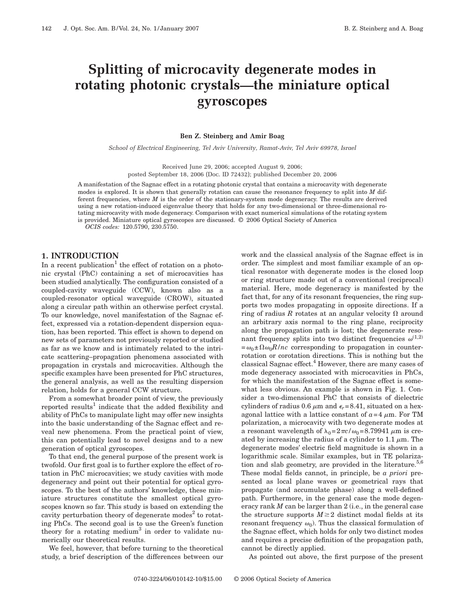# **Splitting of microcavity degenerate modes in rotating photonic crystals—the miniature optical gyroscopes**

#### **Ben Z. Steinberg and Amir Boag**

*School of Electrical Engineering, Tel Aviv University, Ramat-Aviv, Tel Aviv 69978, Israel*

Received June 29, 2006; accepted August 9, 2006;

posted September 18, 2006 (Doc. ID 72432); published December 20, 2006

A manifestation of the Sagnac effect in a rotating photonic crystal that contains a microcavity with degenerate modes is explored. It is shown that generally rotation can cause the resonance frequency to split into *M* different frequencies, where *M* is the order of the stationary-system mode degeneracy. The results are derived using a new rotation-induced eigenvalue theory that holds for any two-dimensional or three-dimensional rotating microcavity with mode degeneracy. Comparison with exact numerical simulations of the rotating system is provided. Miniature optical gyroscopes are discussed. © 2006 Optical Society of America *OCIS codes:* 120.5790, 230.5750.

### **1. INTRODUCTION**

In a recent publication<sup>1</sup> the effect of rotation on a photonic crystal (PhC) containing a set of microcavities has been studied analytically. The configuration consisted of a coupled-cavity waveguide (CCW), known also as a coupled-resonator optical waveguide (CROW), situated along a circular path within an otherwise perfect crystal. To our knowledge, novel manifestation of the Sagnac effect, expressed via a rotation-dependent dispersion equation, has been reported. This effect is shown to depend on new sets of parameters not previously reported or studied as far as we know and is intimately related to the intricate scattering–propagation phenomena associated with propagation in crystals and microcavities. Although the specific examples have been presented for PhC structures, the general analysis, as well as the resulting dispersion relation, holds for a general CCW structure.

From a somewhat broader point of view, the previously reported results<sup>1</sup> indicate that the added flexibility and ability of PhCs to manipulate light may offer new insights into the basic understanding of the Sagnac effect and reveal new phenomena. From the practical point of view, this can potentially lead to novel designs and to a new generation of optical gyroscopes.

To that end, the general purpose of the present work is twofold. Our first goal is to further explore the effect of rotation in PhC microcavities; we study cavities with mode degeneracy and point out their potential for optical gyroscopes. To the best of the authors' knowledge, these miniature structures constitute the smallest optical gyroscopes known so far. This study is based on extending the cavity perturbation theory of degenerate modes<sup>2</sup> to rotating PhCs. The second goal is to use the Green's function theory for a rotating medium<sup>3</sup> in order to validate numerically our theoretical results.

We feel, however, that before turning to the theoretical study, a brief description of the differences between our

work and the classical analysis of the Sagnac effect is in order. The simplest and most familiar example of an optical resonator with degenerate modes is the closed loop or ring structure made out of a conventional (reciprocal) material. Here, mode degeneracy is manifested by the fact that, for any of its resonant frequencies, the ring supports two modes propagating in opposite directions. If a ring of radius  $R$  rotates at an angular velocity  $\Omega$  around an arbitrary axis normal to the ring plane, reciprocity along the propagation path is lost; the degenerate resonant frequency splits into two distinct frequencies  $\omega^{(1,2)}$  $=\omega_0 \pm \Omega \omega_0 R/nc$  corresponding to propagation in counterrotation or corotation directions. This is nothing but the classical Sagnac effect.<sup>4</sup> However, there are many cases of mode degeneracy associated with microcavities in PhCs, for which the manifestation of the Sagnac effect is somewhat less obvious. An example is shown in Fig. 1. Consider a two-dimensional PhC that consists of dielectric cylinders of radius 0.6  $\mu$ m and  $\epsilon_r$ =8.41, situated on a hexagonal lattice with a lattice constant of  $a = 4 \mu m$ . For TM polarization, a microcavity with two degenerate modes at a resonant wavelength of  $\lambda_0=2\pi c/\omega_0=8.79941 \,\mu \mathrm{m}$  is created by increasing the radius of a cylinder to 1.1  $\mu$ m. The degenerate modes' electric field magnitude is shown in a logarithmic scale. Similar examples, but in TE polarization and slab geometry, are provided in the literature.<sup>5,6</sup> These modal fields cannot, in principle, be *a priori* presented as local plane waves or geometrical rays that propagate (and accumulate phase) along a well-defined path. Furthermore, in the general case the mode degeneracy rank *M* can be larger than 2 (i.e., in the general case the structure supports  $M \geq 2$  distinct modal fields at its resonant frequency  $\omega_0$ ). Thus the classical formulation of the Sagnac effect, which holds for only two distinct modes and requires a precise definition of the propagation path, cannot be directly applied.

As pointed out above, the first purpose of the present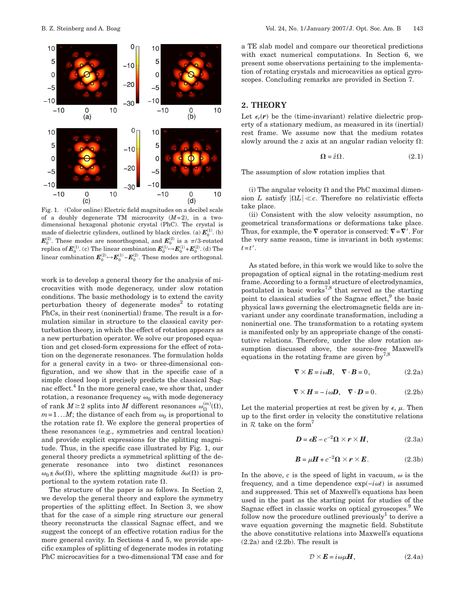

Fig. 1. (Color online) Electric field magnitudes on a decibel scale of a doubly degenerate TM microcavity  $(M=2)$ , in a twodimensional hexagonal photonic crystal (PhC). The crystal is made of dielectric cylinders, outlined by black circles. (a)  $\boldsymbol{E}^{(1)}_0$ . (b)  $E_0^{(2)}$ . These modes are nonorthogonal, and  $E_0^{(2)}$  is a  $\pi/3$ -rotated  $\text{replica of } \pmb{E}_0^{(1)}.$  (c) The linear combination  $\pmb{E}_0^{(1)} \!\!\mapsto\!\pmb{E}_0^{(1)} \!\!\mapsto\!\pmb{E}_0^{(2)}.$  (d) The linear combination  $E_0^{(2)} \rightarrow E_0^{(1)} - E_0^{(2)}$ . These modes are orthogonal.

work is to develop a general theory for the analysis of microcavities with mode degeneracy, under slow rotation conditions. The basic methodology is to extend the cavity perturbation theory of degenerate modes<sup>2</sup> to rotating PhCs, in their rest (noninertial) frame. The result is a formulation similar in structure to the classical cavity perturbation theory, in which the effect of rotation appears as a new perturbation operator. We solve our proposed equation and get closed-form expressions for the effect of rotation on the degenerate resonances. The formulation holds for a general cavity in a two- or three-dimensional configuration, and we show that in the specific case of a simple closed loop it precisely predicts the classical Sagnac effect.4 In the more general case, we show that, under rotation, a resonance frequency  $\omega_0$  with mode degeneracy of rank  $M \geq 2$  splits into *M* different resonances  $\omega_{\Omega}^{(m)}(\Omega)$ ,  $m=1...M$ ; the distance of each from  $\omega_0$  is proportional to the rotation rate  $\Omega$ . We explore the general properties of these resonances (e.g., symmetries and central location) and provide explicit expressions for the splitting magnitude. Thus, in the specific case illustrated by Fig. 1, our general theory predicts a symmetrical splitting of the degenerate resonance into two distinct resonances  $\omega_0 \pm \delta \omega(\Omega)$ , where the splitting magnitude  $\delta \omega(\Omega)$  is proportional to the system rotation rate  $\Omega$ .

The structure of the paper is as follows. In Section 2, we develop the general theory and explore the symmetry properties of the splitting effect. In Section 3, we show that for the case of a simple ring structure our general theory reconstructs the classical Sagnac effect, and we suggest the concept of an effective rotation radius for the more general cavity. In Sections 4 and 5, we provide specific examples of splitting of degenerate modes in rotating PhC microcavities for a two-dimensional TM case and for

a TE slab model and compare our theoretical predictions with exact numerical computations. In Section 6, we present some observations pertaining to the implementation of rotating crystals and microcavities as optical gyroscopes. Concluding remarks are provided in Section 7.

# **2. THEORY**

Let  $\epsilon_r(r)$  be the (time-invariant) relative dielectric property of a stationary medium, as measured in its (inertial) rest frame. We assume now that the medium rotates slowly around the  $z$  axis at an angular radian velocity  $\Omega$ :

$$
\Omega = \hat{z}\Omega. \tag{2.1}
$$

The assumption of slow rotation implies that

(i) The angular velocity  $\Omega$  and the PhC maximal dimension *L* satisfy  $|\Omega L| \ll c$ . Therefore no relativistic effects take place.

(ii) Consistent with the slow velocity assumption, no geometrical transformations or deformations take place. Thus, for example, the  $\nabla$  operator is conserved:  $\nabla = \nabla'$  . For the very same reason, time is invariant in both systems:  $t=t'$ .

As stated before, in this work we would like to solve the propagation of optical signal in the rotating-medium rest frame. According to a formal structure of electrodynamics, postulated in basic works<sup>7,8</sup> that served as the starting point to classical studies of the Sagnac effect, $9$  the basic physical laws governing the electromagnetic fields are invariant under any coordinate transformation, including a noninertial one. The transformation to a rotating system is manifested only by an appropriate change of the constitutive relations. Therefore, under the slow rotation assumption discussed above, the source-free Maxwell's equations in the rotating frame are given by<sup>7,8</sup>

$$
\nabla \times \mathbf{E} = i\omega \mathbf{B}, \quad \nabla \cdot \mathbf{B} = 0, \tag{2.2a}
$$

$$
\nabla \times \mathbf{H} = -i\omega \mathbf{D}, \quad \nabla \cdot \mathbf{D} = 0.
$$
 (2.2b)

Let the material properties at rest be given by  $\epsilon$ ,  $\mu$ . Then up to the first order in velocity the constitutive relations in  $R$  take on the form

$$
\mathbf{D} = \epsilon \mathbf{E} - c^{-2} \mathbf{\Omega} \times \mathbf{r} \times \mathbf{H}, \qquad (2.3a)
$$

$$
\mathbf{B} = \mu \mathbf{H} + c^{-2} \mathbf{\Omega} \times \mathbf{r} \times \mathbf{E}.
$$
 (2.3b)

In the above,  $c$  is the speed of light in vacuum,  $\omega$  is the frequency, and a time dependence exp( $-i\omega t$ ) is assumed and suppressed. This set of Maxwell's equations has been used in the past as the starting point for studies of the Sagnac effect in classic works on optical gyroscopes.<sup>9</sup> We follow now the procedure outlined previously to derive a wave equation governing the magnetic field. Substitute the above constitutive relations into Maxwell's equations (2.2a) and (2.2b). The result is

$$
\mathcal{D} \times \boldsymbol{E} = i\omega\mu\boldsymbol{H},\tag{2.4a}
$$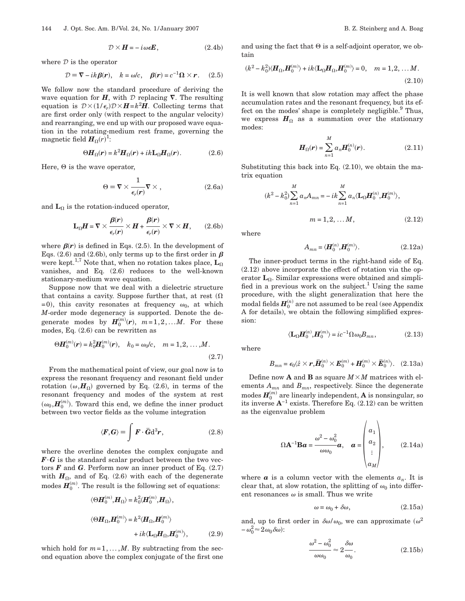$$
\mathcal{D} \times \mathbf{H} = -i\omega \epsilon \mathbf{E},\tag{2.4b}
$$

where  $D$  is the operator

$$
\mathcal{D} \equiv \nabla - ik \boldsymbol{\beta}(\boldsymbol{r}), \quad k = \omega/c, \quad \boldsymbol{\beta}(\boldsymbol{r}) = c^{-1} \boldsymbol{\Omega} \times \boldsymbol{r}. \tag{2.5}
$$

We follow now the standard procedure of deriving the wave equation for  $H$ , with  $D$  replacing  $\nabla$ . The resulting equation is  $\mathcal{D}\times(1/\epsilon_r)\mathcal{D}\times\mathbf{H} = k^2\mathbf{H}$ . Collecting terms that are first order only (with respect to the angular velocity) and rearranging, we end up with our proposed wave equation in the rotating-medium rest frame, governing the magnetic field  $\boldsymbol{H}_{\Omega}(r)^1$ :

$$
\Theta \mathbf{H}_{\Omega}(\mathbf{r}) = k^2 \mathbf{H}_{\Omega}(\mathbf{r}) + ik \mathbf{L}_{\Omega} \mathbf{H}_{\Omega}(\mathbf{r}).
$$
 (2.6)

Here,  $\Theta$  is the wave operator,

*m*-

$$
\Theta \equiv \nabla \times \frac{1}{\epsilon_r(\mathbf{r})} \nabla \times , \qquad (2.6a)
$$

and  $L_0$  is the rotation-induced operator,

$$
\mathbf{L}_{\Omega}\boldsymbol{H} = \boldsymbol{\nabla} \times \frac{\boldsymbol{\beta}(\boldsymbol{r})}{\epsilon_r(\boldsymbol{r})} \times \boldsymbol{H} + \frac{\boldsymbol{\beta}(\boldsymbol{r})}{\epsilon_r(\boldsymbol{r})} \times \boldsymbol{\nabla} \times \boldsymbol{H},\qquad(2.6b)
$$

where  $\beta(r)$  is defined in Eqs. (2.5). In the development of Eqs. (2.6) and (2.6b), only terms up to the first order in  $\beta$ were kept.<sup>1,7</sup> Note that, when no rotation takes place,  $L_0$ vanishes, and Eq. (2.6) reduces to the well-known stationary-medium wave equation.

Suppose now that we deal with a dielectric structure that contains a cavity. Suppose further that, at rest  $(\Omega)$ =0), this cavity resonates at frequency  $\omega_0$ , at which *M*-order mode degeneracy is supported. Denote the degenerate modes by  $\boldsymbol{H}_{0}^{(m)}(\boldsymbol{r}), m=1,2,...M$ . For these modes, Eq. (2.6) can be rewritten as

$$
\Theta \mathbf{H}_0^{(m)}(\mathbf{r}) = k_0^2 \mathbf{H}_0^{(m)}(\mathbf{r}), \quad k_0 = \omega_0/c, \quad m = 1, 2, ..., M.
$$
\n(2.7)

From the mathematical point of view, our goal now is to express the resonant frequency and resonant field under rotation  $(\omega, H_{\Omega})$  governed by Eq. (2.6), in terms of the resonant frequency and modes of the system at rest  $(\omega_0, \boldsymbol{H}_{0}^{(m)})$ . Toward this end, we define the inner product between two vector fields as the volume integration

$$
\langle \boldsymbol{F}, \boldsymbol{G} \rangle \equiv \int \boldsymbol{F} \cdot \bar{\boldsymbol{G}} d^3 \boldsymbol{r}, \tag{2.8}
$$

where the overline denotes the complex conjugate and  $\vec{F} \cdot \vec{G}$  is the standard scalar product between the two vectors  $\bf{F}$  and  $\bf{G}$ . Perform now an inner product of Eq.  $(2.7)$ with  $H_{\Omega}$ , and of Eq. (2.6) with each of the degenerate modes  $\boldsymbol{H}^{(m)}_0$ . The result is the following set of equations:

$$
\langle \Theta \mathbf{H}_{0}^{(m)}, \mathbf{H}_{\Omega} \rangle = k_{0}^{2} \langle \mathbf{H}_{0}^{(m)}, \mathbf{H}_{\Omega} \rangle,
$$
  

$$
\langle \Theta \mathbf{H}_{\Omega}, \mathbf{H}_{0}^{(m)} \rangle = k^{2} \langle \mathbf{H}_{\Omega}, \mathbf{H}_{0}^{(m)} \rangle
$$
  
+  $i k \langle \mathbf{L}_{\Omega} \mathbf{H}_{\Omega}, \mathbf{H}_{0}^{(m)} \rangle,$  (2.9)

which hold for  $m=1,\ldots,M$ . By subtracting from the second equation above the complex conjugate of the first one

and using the fact that  $\Theta$  is a self-adjoint operator, we obtain

$$
(k2 - k02)(\boldsymbol{H}_{\Omega}, \boldsymbol{H}_{0}^{(m)}) + ik\langle \mathbf{L}_{\Omega}\boldsymbol{H}_{\Omega}, \boldsymbol{H}_{0}^{(m)} \rangle = 0, \quad m = 1, 2, \dots M.
$$
\n(2.10)

It is well known that slow rotation may affect the phase accumulation rates and the resonant frequency, but its effect on the modes' shape is completely negligible.<sup>9</sup> Thus, we express  $H_0$  as a summation over the stationary modes:

$$
\boldsymbol{H}_{\Omega}(\boldsymbol{r}) = \sum_{n=1}^{M} a_n \boldsymbol{H}_{0}^{(n)}(\boldsymbol{r}).
$$
\n(2.11)

Substituting this back into Eq. (2.10), we obtain the matrix equation

$$
(k^{2} - k_{0}^{2}) \sum_{n=1}^{M} a_{n} A_{mn} = -ik \sum_{n=1}^{M} a_{n} \langle \mathbf{L}_{\Omega} \mathbf{H}_{0}^{(n)}, \mathbf{H}_{0}^{(m)} \rangle,
$$
  

$$
m = 1, 2, ..., M,
$$
 (2.12)

where

$$
A_{mn} = \langle \mathbf{H}_0^{(n)}, \mathbf{H}_0^{(m)} \rangle. \tag{2.12a}
$$

The inner-product terms in the right-hand side of Eq. (2.12) above incorporate the effect of rotation via the operator  $L_0$ . Similar expressions were obtained and simplified in a previous work on the subject.<sup>1</sup> Using the same procedure, with the slight generalization that here the modal fields  $\pmb{H}^{(n)}_0$  are not assumed to be real (see Appendix A for details), we obtain the following simplified expression:

$$
\langle \mathbf{L}_{\Omega} \mathbf{H}_{0}^{(n)}, \mathbf{H}_{0}^{(m)} \rangle = ic^{-1} \Omega \omega_{0} B_{mn}, \qquad (2.13)
$$

where

$$
B_{mn} = \epsilon_0 \langle \hat{\boldsymbol{z}} \times \boldsymbol{r}, \overline{\boldsymbol{H}}_0^{(n)} \times \boldsymbol{E}_0^{(m)} + \boldsymbol{H}_0^{(m)} \times \overline{\boldsymbol{E}}_0^{(n)} \rangle. \quad (2.13a)
$$

Define now **A** and **B** as square  $M \times M$  matrices with elements  $A_{mn}$  and  $B_{mn}$ , respectively. Since the degenerate modes  $\boldsymbol{H}^{(m)}_0$  are linearly independent, **A** is nonsingular, so its inverse  $\mathbf{A}^{-1}$  exists. Therefore Eq. (2.12) can be written as the eigenvalue problem

$$
\Omega \mathbf{A}^{-1} \mathbf{B} \mathbf{a} = \frac{\omega^2 - \omega_0^2}{\omega \omega_0} \mathbf{a}, \quad \mathbf{a} = \begin{pmatrix} a_1 \\ a_2 \\ \vdots \\ a_M \end{pmatrix}, \qquad (2.14a)
$$

where  $\boldsymbol{a}$  is a column vector with the elements  $a_n$ . It is clear that, at slow rotation, the splitting of  $\omega_0$  into different resonances  $\omega$  is small. Thus we write

$$
\omega = \omega_0 + \delta \omega, \tag{2.15a}
$$

 $\sqrt{1}$ 

and, up to first order in  $\delta \omega / \omega_0$ , we can approximate  $(\omega^2)$  $-\omega_0^2 \approx 2\omega_0 \delta \omega$ :

$$
\frac{\omega^2 - \omega_0^2}{\omega \omega_0} \approx 2 \frac{\delta \omega}{\omega_0}.
$$
 (2.15b)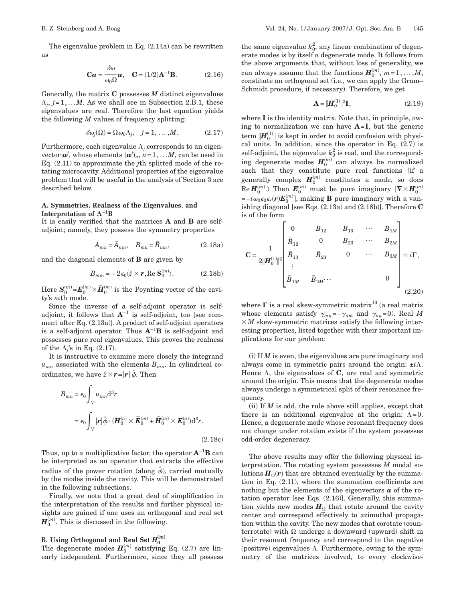The eigenvalue problem in Eq. (2.14a) can be rewritten as

$$
\mathbf{C}\boldsymbol{a} = \frac{\delta \omega}{\omega_0 \Omega} \boldsymbol{a}, \quad \mathbf{C} = (1/2)\mathbf{A}^{-1} \mathbf{B}. \tag{2.16}
$$

Generally, the matrix **C** possesses *M* distinct eigenvalues  $\Lambda_i$ ,  $j=1,...M$ . As we shall see in Subsection 2.B.1, these eigenvalues are real. Therefore the last equation yields the following *M* values of frequency splitting:

$$
\delta \omega_j(\Omega) = \Omega \omega_0 \Lambda_j, \quad j = 1, \dots, M. \tag{2.17}
$$

Furthermore, each eigenvalue  $\Lambda_i$  corresponds to an eigenvector  $\boldsymbol{a}^j$ , whose elements  $(\boldsymbol{a}^j)_n$ ,  $n=1,\ldots M$ , can be used in Eq. (2.11) to approximate the *j*th splitted mode of the rotating microcavity. Additional properties of the eigenvalue problem that will be useful in the analysis of Section 3 are described below.

#### **A. Symmetries, Realness of the Eigenvalues, and Interpretation of A−1B**

It is easily verified that the matrices **A** and **B** are selfadjoint; namely, they possess the symmetry properties

$$
A_{mn} = \overline{A}_{nm}, \quad B_{mn} = \overline{B}_{nm}, \tag{2.18a}
$$

and the diagonal elements of **B** are given by

$$
B_{mm} = -2\epsilon_0 \langle \hat{z} \times r, \text{Re } \mathbf{S}_0^{(m)} \rangle. \tag{2.18b}
$$

Here  $S_0^{(m)} = E_0^{(m)} \times \bar{H}_0^{(m)}$  is the Poynting vector of the cavity's *m*th mode.

Since the inverse of a self-adjoint operator is selfadjoint, it follows that  $A^{-1}$  is self-adjoint, too [see comment after Eq. (2.13a)]. A product of self-adjoint operators is a self-adjoint operator. Thus **A**−1**B** is self-adjoint and possesses pure real eigenvalues. This proves the realness of the  $\Lambda$ 's in Eq. (2.17).

It is instructive to examine more closely the integrand  $u_{mn}$  associated with the elements  $B_{mn}$ . In cylindrical coordinates, we have  $\hat{z} \times r = |r| \hat{\phi}$ . Then

$$
B_{mn} = \epsilon_0 \int_V u_{mn} \mathbf{d}^3 r
$$
  
=  $\epsilon_0 \int_V |\mathbf{r}| \hat{\phi} \cdot (\mathbf{H}_0^{(n)} \times \bar{\mathbf{E}}_0^{(m)} + \bar{\mathbf{H}}_0^{(m)} \times \mathbf{E}_0^{(n)}) \mathbf{d}^3 r.$  (2.18c)

Thus, up to a multiplicative factor, the operator  $\mathbf{A}^{-1}\mathbf{B}$  can be interpreted as an operator that extracts the effective radius of the power rotation (along  $\hat{\phi}$ ), carried mutually by the modes inside the cavity. This will be demonstrated in the following subsections.

Finally, we note that a great deal of simplification in the interpretation of the results and further physical insights are gained if one uses an orthogonal and real set  $\boldsymbol{H}^{(m)}_0$ . This is discussed in the following.

# **B.** Using Orthogonal and Real Set  $H_0^{(m)}$

The degenerate modes  $H_0^{(m)}$  satisfying Eq. (2.7) are linearly independent. Furthermore, since they all possess

the same eigenvalue  $k_0^2$ , any linear combination of degenerate modes is by itself *a* degenerate mode. It follows from the above arguments that, without loss of generality, we can always assume that the functions  $\boldsymbol{H}^{(m)}_0$ ,  $m$ =1,...,*M*, constitute an orthogonal set (i.e., we can apply the Gram– Schmidt procedure, if necessary). Therefore, we get

$$
\mathbf{A} = ||\mathbf{H}_0^{(1)}||^2 \mathbf{I},\tag{2.19}
$$

where **I** is the identity matrix. Note that, in principle, owing to normalization we can have **A**=**I**, but the generic  $\mathop{\rm term}\nolimits\|{\bm H}_{0}^{(1)}\|$  is kept in order to avoid confusion with physical units. In addition, since the operator in Eq.  $(2.7)$  is  $\text{self-adjoint, the eigenvalue } k_0^2 \text{ is real, and the corresponding eigenvalue.}$  $\mathbf{H}_{0}^{(m)}$  can always be normalized such that they constitute pure real functions (if a  $\text{generally}$  complex  $\boldsymbol{H}^{(m)}_0$  constitutes a mode, so does  $\mathbf{Re} \, \bm{H}_{0}^{(m)}$ .) Then  $\bm{E}_{0}^{(m)}$  must be pure imaginary  $\lbrack \nabla \! \times \! \bm{H}_{0}^{(m)} \rbrack$  $=-i\omega_0 \epsilon_0 \epsilon_r(\mathbf{r}) \mathbf{E}_0^{(m)}$ , making **B** pure imaginary with a vanishing diagonal [see Eqs. (2.13a) and (2.18b)]. Therefore **C** is of the form

$$
\mathbf{C} = \frac{1}{2\|\mathbf{H}_0^{(1)}\|^2} \begin{bmatrix} 0 & B_{12} & B_{13} & \cdots & B_{1M} \\ \bar{B}_{12} & 0 & B_{23} & \cdots & B_{2M} \\ \bar{B}_{13} & \bar{B}_{23} & 0 & \cdots & B_{3M} \\ \vdots & & & & \\ \bar{B}_{1M} & \bar{B}_{2M} & \cdots & 0 \end{bmatrix} = i\Gamma,
$$
\n(2.20)

where  $\Gamma$  is a real skew-symmetric matrix<sup>10</sup> (a real matrix whose elements satisfy  $\gamma_{mn} = -\gamma_{nm}$  and  $\gamma_{nn} = 0$ ). Real M  $\times M$  skew-symmetric matrices satisfy the following interesting properties, listed together with their important implications for our problem:

(i) If *M* is even, the eigenvalues are pure imaginary and always come in symmetric pairs around the origin:  $\pm i\Lambda$ . Hence  $\Lambda$ , the eigenvalues of  $C$ , are real and symmetric around the origin. This means that the degenerate modes always undergo a symmetrical split of their resonance frequency.

(ii) If  $M$  is odd, the rule above still applies, except that there is an additional eigenvalue at the origin:  $\Lambda = 0$ . Hence, a degenerate mode whose resonant frequency does not change under rotation exists if the system possesses odd-order degeneracy.

The above results may offer the following physical interpretation. The rotating system possesses *M* modal solutions  $\boldsymbol{H}_{\Omega}(\boldsymbol{r})$  that are obtained eventually by the summation in Eq. (2.11), where the summation coefficients are nothing but the elements of the eigenvectors *a* of the rotation operator [see Eqs. (2.16)]. Generally, this summation yields new modes  $H_0$  that rotate around the cavity center and correspond effectively to azimuthal propagation within the cavity. The new modes that corotate (counterrotate) with  $\Omega$  undergo a downward (upward) shift in their resonant frequency and correspond to the negative (positive) eigenvalues  $\Lambda$ . Furthermore, owing to the symmetry of the matrices involved, to every clockwise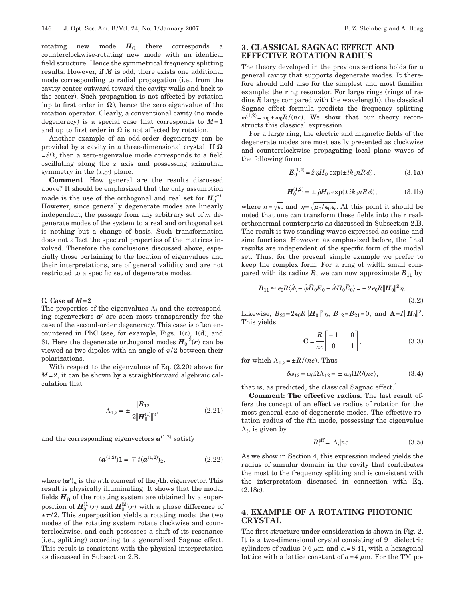rotating new mode  $H_{\Omega}$  there corresponds a counterclockwise-rotating new mode with an identical field structure. Hence the symmetrical frequency splitting results. However, if *M* is odd, there exists one additional mode corresponding to radial propagation (i.e., from the cavity center outward toward the cavity walls and back to the center). Such propagation is not affected by rotation (up to first order in  $\Omega$ ), hence the zero eigenvalue of the rotation operator. Clearly, a conventional cavity (no mode degeneracy) is a special case that corresponds to  $M=1$ and up to first order in  $\Omega$  is not affected by rotation.

Another example of an odd-order degeneracy can be provided by a cavity in a three-dimensional crystal. If  $\Omega$  $=\hat{z}\Omega$ , then a zero-eigenvalue mode corresponds to a field oscillating along the *z* axis and possessing azimuthal symmetry in the  $(x, y)$  plane.

**Comment**. How general are the results discussed above? It should be emphasized that the only assumption made is the use of the orthogonal and real set for  $H_0^{(m)}$ . However, since generally degenerate modes are linearly independent, the passage from any arbitrary set of *m* degenerate modes of the system to a real and orthogonal set is nothing but a change of basis. Such transformation does not affect the spectral properties of the matrices involved. Therefore the conclusions discussed above, especially those pertaining to the location of eigenvalues and their interpretations, are of general validity and are not restricted to a specific set of degenerate modes.

#### **C. Case of** *M***=2**

The properties of the eigenvalues  $\Lambda_j$  and the corresponding eigenvectors  $a^j$  are seen most transparently for the case of the second-order degeneracy. This case is often encountered in PhC (see, for example, Figs. 1(c), 1(d), and 6). Here the degenerate orthogonal modes  $\boldsymbol{H}^{1,2}_0(\boldsymbol{r})$  can be viewed as two dipoles with an angle of  $\pi/2$  between their polarizations.

With respect to the eigenvalues of Eq. (2.20) above for *M*=2, it can be shown by a straightforward algebraic calculation that

$$
\Lambda_{1,2} = \pm \frac{|B_{12}|}{2||\mathbf{H}_0^{(1)}||^2},\tag{2.21}
$$

and the corresponding eigenvectors  $a^{(1,2)}$  satisfy

$$
(\mathbf{a}^{(1,2)})\mathbf{1} = \mp i(\mathbf{a}^{(1,2)})_2,\tag{2.22}
$$

where  $(a^j)_n$  is the *n*th element of the *j*th. eigenvector. This result is physically illuminating. It shows that the modal fields  $H_0$  of the rotating system are obtained by a superposition of  $H_0^{(1)}(r)$  and  $H_0^{(2)}(r)$  with a phase difference of  $\pm \pi/2$ . This superposition yields a rotating mode; the two modes of the rotating system rotate clockwise and counterclockwise, and each possesses a shift of its resonance (i.e., splitting) according to a generalized Sagnac effect. This result is consistent with the physical interpretation as discussed in Subsection 2.B.

# **3. CLASSICAL SAGNAC EFFECT AND EFFECTIVE ROTATION RADIUS**

The theory developed in the previous sections holds for a general cavity that supports degenerate modes. It therefore should hold also for the simplest and most familiar example: the ring resonator. For large rings (rings of ra $d$ ius  $R$  large compared with the wavelength), the classical Sagnac effect formula predicts the frequency splitting  $\omega^{(1,2)} = \omega_0 \pm \omega_0 R/(nc)$ . We show that our theory reconstructs this classical expression.

For a large ring, the electric and magnetic fields of the degenerate modes are most easily presented as clockwise and counterclockwise propagating local plane waves of the following form:

$$
\boldsymbol{E}_0^{(1,2)} = \hat{z} \,\eta H_0 \exp(\pm ik_0 nR\,\phi),\tag{3.1a}
$$

$$
\mathbf{H}_0^{(1,2)} = \pm \hat{\rho} H_0 \exp(\pm ik_0 nR\phi), \tag{3.1b}
$$

where  $n = \sqrt{\epsilon_r}$  and  $\eta = \sqrt{\mu_0/\epsilon_0 \epsilon_r}$ . At this point it should be noted that one can transform these fields into their realorthonormal counterparts as discussed in Subsection 2.B. The result is two standing waves expressed as cosine and sine functions. However, as emphasized before, the final results are independent of the specific form of the modal set. Thus, for the present simple example we prefer to keep the complex form. For a ring of width small compared with its radius  $R$ , we can now approximate  $B_{11}$  by

$$
B_{11} \approx \epsilon_0 R(\hat{\phi}, -\hat{\phi}\bar{H}_0 E_0 - \hat{\phi}H_0 \bar{E}_0) = -2\epsilon_0 R ||\mathbf{H}_0||^2 \eta.
$$
\n(3.2)

Likewise,  $B_{22} = 2\epsilon_0 R ||\mathbf{H}_0||^2 \eta$ ,  $B_{12} = B_{21} = 0$ , and  $\mathbf{A} = I ||\mathbf{H}_0||^2$ . This yields

$$
\mathbf{C} = \frac{R}{nc} \begin{bmatrix} -1 & 0 \\ 0 & 1 \end{bmatrix},
$$
 (3.3)

for which  $\Lambda_{1,2} = \pm R/(nc)$ . Thus

$$
\delta\omega_{12} = \omega_0 \Omega \Lambda_{12} = \pm \omega_0 \Omega R / (nc), \qquad (3.4)
$$

that is, as predicted, the classical Sagnac effect.<sup>4</sup>

**Comment: The effective radius.** The last result offers the concept of an effective radius of rotation for the most general case of degenerate modes. The effective rotation radius of the *i*th mode, possessing the eigenvalue  $\Lambda_i$ , is given by

$$
R_i^{\text{eff}} = |\Lambda_i| nc. \tag{3.5}
$$

As we show in Section 4, this expression indeed yields the radius of annular domain in the cavity that contributes the most to the frequency splitting and is consistent with the interpretation discussed in connection with Eq. (2.18c).

# **4. EXAMPLE OF A ROTATING PHOTONIC CRYSTAL**

The first structure under consideration is shown in Fig. 2. It is a two-dimensional crystal consisting of 91 dielectric cylinders of radius 0.6  $\mu$ m and  $\epsilon_r$ =8.41, with a hexagonal lattice with a lattice constant of  $a = 4 \mu m$ . For the TM po-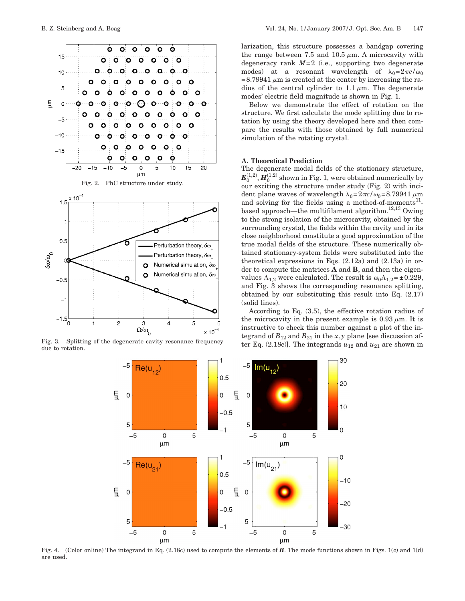

due to rotation.

larization, this structure possesses a bandgap covering the range between 7.5 and 10.5  $\mu$ m. A microcavity with degeneracy rank *M*=2 (i.e., supporting two degenerate modes) at a resonant wavelength of  $\lambda_0=2\pi c/\omega_0$  $=8.79941 \mu m$  is created at the center by increasing the radius of the central cylinder to  $1.1 \mu m$ . The degenerate modes' electric field magnitude is shown in Fig. 1.

Below we demonstrate the effect of rotation on the structure. We first calculate the mode splitting due to rotation by using the theory developed here and then compare the results with those obtained by full numerical simulation of the rotating crystal.

#### **A. Theoretical Prediction**

The degenerate modal fields of the stationary structure,  $\bm{E}^{(1,2)}_0, \bm{H}^{(1,2)}_0$  shown in Fig. 1, were obtained numerically by our exciting the structure under study (Fig. 2) with incident plane waves of wavelength  $\lambda_0=2\pi c/\omega_0=8.79941~\mu m$ and solving for the fields using a method-of-moments<sup>11</sup>based approach—the multifilament algorithm.12,13 Owing to the strong isolation of the microcavity, obtained by the surrounding crystal, the fields within the cavity and in its close neighborhood constitute a good approximation of the true modal fields of the structure. These numerically obtained stationary-system fields were substituted into the theoretical expressions in Eqs. (2.12a) and (2.13a) in order to compute the matrices **A** and **B**, and then the eigenvalues  $\Lambda_{1,2}$  were calculated. The result is  $\omega_0\Lambda_{1,2}$ =±0.229, and Fig. 3 shows the corresponding resonance splitting, obtained by our substituting this result into Eq. (2.17) (solid lines).

According to Eq. (3.5), the effective rotation radius of the microcavity in the present example is  $0.93 \mu m$ . It is instructive to check this number against a plot of the integrand of  $B_{12}$  and  $B_{21}$  in the *x*,*y* plane [see discussion af-Fig. 3. Splitting of the degenerate cavity resonance frequency  $\text{ter Eq. (2.18c)}$ . The integrands  $u_{12}$  and  $u_{21}$  are shown in



Fig. 4. (Color online) The integrand in Eq. (2.18c) used to compute the elements of *B*. The mode functions shown in Figs. 1(c) and 1(d) are used.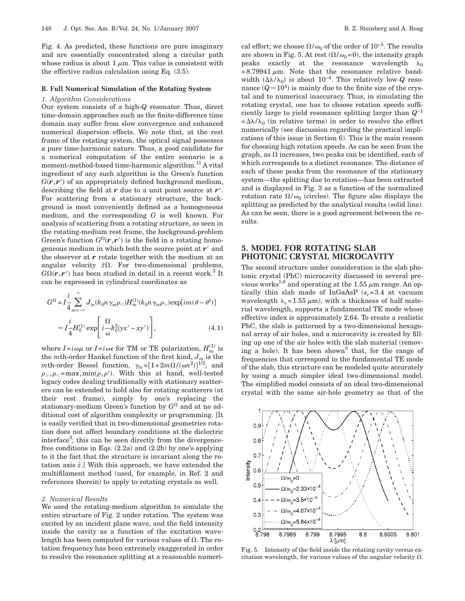Fig. 4. As predicted, these functions are pure imaginary and are essentially concentrated along a circular path whose radius is about  $1 \mu m$ . This value is consistent with the effective radius calculation using Eq. (3.5).

#### **B. Full Numerical Simulation of the Rotating System**

#### *1. Algorithm Considerations*

Our system consists of a high-*Q* resonator. Thus, direct time-domain approaches such as the finite-difference time domain may suffer from slow convergence and enhanced numerical dispersion effects. We note that, at the rest frame of the rotating system, the optical signal possesses a pure time-harmonic nature. Thus, a good candidate for a numerical computation of the entire scenario is a moment-method-based time-harmonic algorithm.<sup>11</sup> A vital ingredient of any such algorithm is the Green's function  $G(\mathbf{r}, \mathbf{r}')$  of an appropriately defined background medium, describing the field at *r* due to a unit point source at *r*. For scattering from a stationary structure, the background is most conveniently defined as a homogeneous medium, and the corresponding *G* is well known. For analysis of scattering from a rotating structure, as seen in the rotating-medium rest frame, the background-problem Green's function  $G^{\Omega}(\mathbf{r}, \mathbf{r}')$  is the field in a rotating homogeneous medium in which both the source point at r' and the observer at *r* rotate together with the medium at an angular velocity  $\hat{z}\Omega$ . For two-dimensional problems,  $G\Omega(r,r')$  has been studied in detail in a recent work.<sup>3</sup> It can be expressed in cylindrical coordinates as

$$
G^{\Omega} = I \frac{i}{4} \sum_{m=-\infty}^{\infty} J_m(k_0 n \gamma_m \rho_<) H_m^{(1)}(k_0 n \gamma_m \rho_>) \exp[i m (\theta - \theta^1)]
$$
  

$$
\approx I \frac{i}{4} H_0^{(1)} \exp\left[i \frac{\Omega}{\omega} k_0^2 (yx' - xy')\right],
$$
 (4.1)

where  $I = i\omega\mu$  or  $I = i\omega\epsilon$  for TM or TE polarization,  $H_m^{(1)}$  is the *m*th-order Hankel function of the first kind,  $J_m$  is the  $m$ th-order Bessel function,  $\gamma_m = [1 + 2m\Omega/(\omega n^2)]^{1/2}$ , and  $\rho_>, \rho_< = \max, \min(\rho, \rho').$  With this at hand, well-tested legacy codes dealing traditionally with stationary scatterers can be extended to hold also for rotating scatterers (at their rest frame), simply by one's replacing the stationary-medium Green's function by  $G^{\Omega}$  and at no additional cost of algorithm complexity or programming. [It is easily verified that in two-dimensional geometries rotation does not affect boundary conditions at the dielectric interface<sup>3</sup>; this can be seen directly from the divergencefree conditions in Eqs. (2.2a) and (2.2b) by one's applying to it the fact that the structure is invariant along the rotation axis  $\hat{z}$ .] With this approach, we have extended the multifilament method (used, for example, in Ref. 2 and references therein) to apply to rotating crystals as well.

#### *2. Numerical Results*

We used the rotating-medium algorithm to simulate the entire structure of Fig. 2 under rotation. The system was excited by an incident plane wave, and the field intensity inside the cavity as a function of the excitation wavelength has been computed for various values of  $\Omega$ . The rotation frequency has been extremely exaggerated in order to resolve the resonance splitting at a reasonable numeri-

cal effort; we choose  $\Omega/\omega_0$  of the order of  $10^{-5}$ . The results are shown in Fig. 5. At rest  $(\Omega/\omega_0=0)$ , the intensity graph peaks exactly at the resonance wavelength  $\lambda_0$  $=8.79941 \mu m$ . Note that the resonance relative bandwidth  $(\Delta \lambda / \lambda_0)$  is about 10<sup>-4</sup>. This relatively low-*Q* resonance  $(Q \approx 10^4)$  is mainly due to the finite size of the crystal and to numerical inaccuracy. Thus, in simulating the rotating crystal, one has to choose rotation speeds sufficiently large to yield resonance splitting larger than *Q*−1  $=\Delta\lambda/\lambda_0$  (in relative terms) in order to resolve the effect numerically (see discussion regarding the practical implications of this issue in Section 6). This is the main reason for choosing high rotation speeds. As can be seen from the graph, as  $\Omega$  increases, two peaks can be identified, each of which corresponds to a distinct resonance. The distance of each of these peaks from the resonance of the stationary system—the splitting due to rotation—has been extracted and is displayed in Fig. 3 as a function of the normalized rotation rate  $\Omega/\omega_0$  (circles). The figure also displays the splitting as predicted by the analytical results (solid line). As can be seen, there is a good agreement between the results.

# **5. MODEL FOR ROTATING SLAB PHOTONIC CRYSTAL MICROCAVITY**

The second structure under consideration is the slab photonic crystal (PhC) microcavity discussed in several previous works<sup>5,6</sup> and operating at the 1.55  $\mu$ m range. An optically thin slab made of InGaAsP  $(\epsilon_r=3.4$  at vacuum wavelength  $\lambda_v$ =1.55  $\mu$ m), with a thickness of half material wavelength, supports a fundamental TE mode whose effective index is approximately 2.64. To create a realistic PhC, the slab is patterned by a two-dimensional hexagonal array of air holes, and a microcavity is created by filling up one of the air holes with the slab material (removing a hole). It has been shown<sup>5</sup> that, for the range of frequencies that correspond to the fundamental TE mode of the slab, this structure can be modeled quite accurately by using a much simpler ideal two-dimensional model. The simplified model consists of an ideal two-dimensional crystal with the same air-hole geometry as that of the



Fig. 5. Intensity of the field inside the rotating cavity versus excitation wavelength, for various values of the angular velocity  $\Omega$ .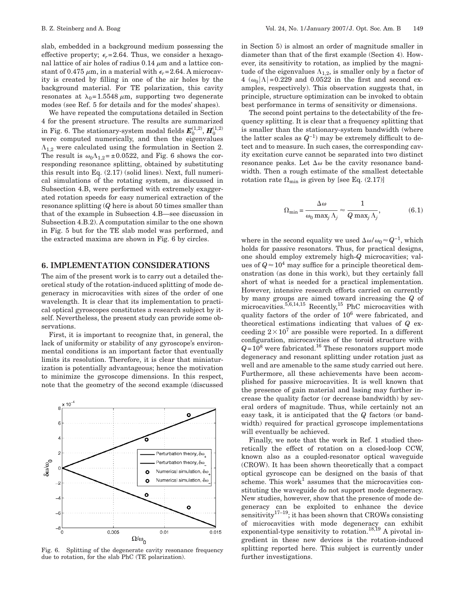slab, embedded in a background medium possessing the effective property;  $\epsilon_r = 2.64$ . Thus, we consider a hexagonal lattice of air holes of radius  $0.14 \mu m$  and a lattice constant of 0.475  $\mu$ m, in a material with  $\epsilon_r$ =2.64. A microcavity is created by filling in one of the air holes by the background material. For TE polarization, this cavity resonates at  $\lambda_0$ =1.5548  $\mu$ m, supporting two degenerate modes (see Ref. 5 for details and for the modes' shapes).

We have repeated the computations detailed in Section 4 for the present structure. The results are summarized in Fig. 6. The stationary-system modal fields  ${\bm E}_{0}^{(1,2)},$   ${\bm H}_{0}^{(1,2)}$ were computed numerically, and then the eigenvalues  $\Lambda_{1,2}$  were calculated using the formulation in Section 2. The result is  $\omega_0 \Lambda_{1,2} = \pm 0.0522$ , and Fig. 6 shows the corresponding resonance splitting, obtained by substituting this result into Eq. (2.17) (solid lines). Next, full numerical simulations of the rotating system, as discussed in Subsection 4.B, were performed with extremely exaggerated rotation speeds for easy numerical extraction of the resonance splitting (*Q* here is about 50 times smaller than that of the example in Subsection 4.B—see discussion in Subsection 4.B.2). A computation similar to the one shown in Fig. 5 but for the TE slab model was performed, and the extracted maxima are shown in Fig. 6 by circles.

# **6. IMPLEMENTATION CONSIDERATIONS**

The aim of the present work is to carry out a detailed theoretical study of the rotation-induced splitting of mode degeneracy in microcavities with sizes of the order of one wavelength. It is clear that its implementation to practical optical gyroscopes constitutes a research subject by itself. Nevertheless, the present study can provide some observations.

First, it is important to recognize that, in general, the lack of uniformity or stability of any gyroscope's environmental conditions is an important factor that eventually limits its resolution. Therefore, it is clear that miniaturization is potentially advantageous; hence the motivation to minimize the gyroscope dimensions. In this respect, note that the geometry of the second example (discussed



Fig. 6. Splitting of the degenerate cavity resonance frequency due to rotation, for the slab PhC (TE polarization).

in Section 5) is almost an order of magnitude smaller in diameter than that of the first example (Section 4). However, its sensitivity to rotation, as implied by the magnitude of the eigenvalues  $\Lambda_{1,2}$ , is smaller only by a factor of  $4 \left( \omega_0/\Lambda \right) = 0.229$  and 0.0522 in the first and second examples, respectively). This observation suggests that, in principle, structure optimization can be invoked to obtain best performance in terms of sensitivity or dimensions.

The second point pertains to the detectability of the frequency splitting. It is clear that a frequency splitting that is smaller than the stationary-system bandwidth (where the latter scales as  $Q^{-1}$ ) may be extremely difficult to detect and to measure. In such cases, the corresponding cavity excitation curve cannot be separated into two distinct resonance peaks. Let  $\Delta\omega$  be the cavity resonance bandwidth. Then a rough estimate of the smallest detectable rotation rate  $\Omega_{\text{min}}$  is given by [see Eq. (2.17)]

$$
\Omega_{\min} = \frac{\Delta \omega}{\omega_0 \max_j \Lambda_j} \approx \frac{1}{Q \max_j \Lambda_j},
$$
\n(6.1)

where in the second equality we used  $\Delta \omega / \omega_0 \approx Q^{-1}$ , which holds for passive resonators. Thus, for practical designs, one should employ extremely high-*Q* microcavities; values of  $Q \approx 10^4$  may suffice for a principle theoretical demonstration (as done in this work), but they certainly fall short of what is needed for a practical implementation. However, intensive research efforts carried on currently by many groups are aimed toward increasing the *Q* of microcavities.<sup>5,6,14,15</sup> Recently,<sup>15</sup> PhC microcavities with quality factors of the order of 106 were fabricated, and theoretical estimations indicating that values of *Q* exceeding  $2 \times 10^7$  are possible were reported. In a different configuration, microcavities of the toroid structure with  $Q=10^8$  were fabricated.<sup>16</sup> These resonators support mode degeneracy and resonant splitting under rotation just as well and are amenable to the same study carried out here. Furthermore, all these achievements have been accomplished for passive microcavities. It is well known that the presence of gain material and lasing may further increase the quality factor (or decrease bandwidth) by several orders of magnitude. Thus, while certainly not an easy task, it is anticipated that the *Q* factors (or bandwidth) required for practical gyroscope implementations will eventually be achieved.

Finally, we note that the work in Ref. 1 studied theoretically the effect of rotation on a closed-loop CCW, known also as a coupled-resonator optical waveguide (CROW). It has been shown theoretically that a compact optical gyroscope can be designed on the basis of that scheme. This work<sup>1</sup> assumes that the microcavities constituting the waveguide do not support mode degeneracy. New studies, however, show that the presence of mode degeneracy can be exploited to enhance the device sensitivity<sup>17–19</sup>; it has been shown that CROWs consisting of microcavities with mode degeneracy can exhibit exponential-type sensitivity to rotation.<sup>18,19</sup> A pivotal ingredient in these new devices is the rotation-induced splitting reported here. This subject is currently under further investigations.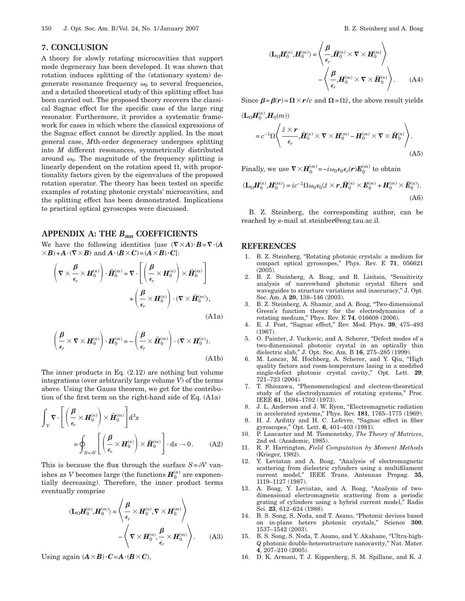#### **7. CONCLUSION**

A theory for slowly rotating microcavities that support mode degeneracy has been developed. It was shown that rotation induces splitting of the (stationary system) degenerate resonance frequency  $\omega_0$  to several frequencies, and a detailed theoretical study of this splitting effect has been carried out. The proposed theory recovers the classical Sagnac effect for the specific case of the large ring resonator. Furthermore, it provides a systematic framework for cases in which where the classical expressions of the Sagnac effect cannot be directly applied. In the most general case, *M*th-order degeneracy undergoes splitting into *M* different resonances, symmetrically distributed around  $\omega_0$ . The magnitude of the frequency splitting is linearly dependent on the rotation speed  $\Omega$ , with proportionality factors given by the eigenvalues of the proposed rotation operator. The theory has been tested on specific examples of rotating photonic crystals' microcavities, and the splitting effect has been demonstrated. Implications to practical optical gyroscopes were discussed.

# **APPENDIX A: THE** *Bmn* **COEFFICIENTS**

We have the following identities [use  $(\nabla \times \mathbf{A}) \cdot \mathbf{B} = \nabla \cdot (\mathbf{A})$  $\times$  *B*)+*A*· $(\nabla \times B)$  and *A*· $(B \times C) = (A \times B) \cdot C$ :

$$
\left(\nabla \times \frac{\boldsymbol{\beta}}{\epsilon_r} \times \boldsymbol{H}_0^{(n)}\right) \cdot \boldsymbol{\bar{H}}_0^{(m)} = \nabla \cdot \left[\left(\frac{\boldsymbol{\beta}}{\epsilon_r} \times \boldsymbol{H}_0^{(n)}\right) \times \boldsymbol{\bar{H}}_0^{(m)}\right] + \left(\frac{\boldsymbol{\beta}}{\epsilon_r} \times \boldsymbol{H}_0^{(n)}\right) \cdot (\nabla \times \boldsymbol{\bar{H}}_0^{(m)}),
$$
\n(A1a)

$$
\left(\frac{\boldsymbol{\beta}}{\epsilon_r}\times\boldsymbol{\nabla}\times\boldsymbol{H}_0^{(n)}\right)\cdot\boldsymbol{H}_0^{(m)}=-\left(\frac{\boldsymbol{\beta}}{\epsilon_r}\times\bar{\boldsymbol{H}}_0^{(m)}\right)\cdot(\boldsymbol{\nabla}\times\boldsymbol{H}_0^{(n)}).
$$
\n(A1b)

The inner products in Eq. (2.12) are nothing but volume integrations (over arbitrarily large volume *V*) of the terms above. Using the Gauss theorem, we get for the contribution of the first term on the right-hand side of Eq. (A1a)

$$
\int_{V} \mathbf{v} \cdot \left[ \left( \frac{\boldsymbol{\beta}}{\epsilon_{r}} \times \boldsymbol{H}_{0}^{(n)} \right) \times \bar{\boldsymbol{H}}_{0}^{(m)} \right] d^{3}x
$$
\n
$$
= \oint_{S=\partial V} \left[ \left( \frac{\boldsymbol{\beta}}{\epsilon_{r}} \times \boldsymbol{H}_{0}^{(n)} \right) \times \bar{\boldsymbol{H}}_{0}^{(m)} \right] \cdot ds \to 0. \tag{A2}
$$

This is because the flux through the surface  $S = \partial V$  vanishes as  $V$  becomes large (the functions  $\boldsymbol{H}^{(n)}_0$  are exponentially decreasing). Therefore, the inner product terms eventually comprise

$$
\langle \mathbf{L}_{\Omega} \boldsymbol{H}_{0}^{(n)}, \boldsymbol{H}_{0}^{(m)} \rangle = \left\langle \frac{\boldsymbol{\beta}}{\epsilon_{r}} \times \boldsymbol{H}_{0}^{(n)}, \nabla \times \boldsymbol{H}_{0}^{(m)} \right\rangle - \left\langle \nabla \times \boldsymbol{H}_{0}^{(n)}, \frac{\boldsymbol{\beta}}{\epsilon_{r}} \times \boldsymbol{H}_{0}^{(m)} \right\rangle. \tag{A3}
$$

Using again  $(A \times B) \cdot C = A \cdot (B \times C)$ ,

$$
\langle \mathbf{L}_{\Omega} \boldsymbol{H}_{0}^{(n)}, \boldsymbol{H}_{0}^{(m)} \rangle = \left\langle \frac{\boldsymbol{\beta}}{\epsilon_{r}}, \bar{\boldsymbol{H}}_{0}^{(n)} \times \nabla \times \boldsymbol{H}_{0}^{(m)} \right\rangle - \left\langle \frac{\boldsymbol{\beta}}{\epsilon_{r}}, \boldsymbol{H}_{0}^{(m)} \times \nabla \times \bar{\boldsymbol{H}}_{0}^{(n)} \right\rangle. \tag{A4}
$$

Since  $\beta = \beta(r) = \Omega \times r/c$  and  $\Omega = \Omega \hat{z}$ , the above result yields

$$
\langle \mathbf{L}_{\Omega} \boldsymbol{H}_{0}^{(n)}, \boldsymbol{H}_{0}(m) \rangle
$$
  
=  $c^{-1} \Omega \left\langle \frac{\hat{z} \times \boldsymbol{r}}{\epsilon_{r}}, \overline{\boldsymbol{H}}_{0}^{(n)} \times \nabla \times \boldsymbol{H}_{0}^{(m)} - \boldsymbol{H}_{0}^{(m)} \times \nabla \times \overline{\boldsymbol{H}}_{0}^{(n)} \right\rangle$ . (A5)

Finally, we use  $\nabla \times \bm{H}^{(m)}_0 = -i\,\omega_0\bm{\epsilon}_0\bm{\epsilon}_r(\bm{r})\bm{E}^{(m)}_0$  to obtain

$$
\langle \mathbf{L}_{\Omega} \mathbf{H}_{0}^{(n)}, \mathbf{H}_{0}^{(m)} \rangle = ic^{-1} \Omega \omega_{0} \epsilon_{0} \langle \hat{z} \times \mathbf{r}, \overline{\mathbf{H}}_{0}^{(n)} \times \mathbf{E}_{0}^{(m)} + \mathbf{H}_{0}^{(m)} \times \overline{\mathbf{E}}_{0}^{(n)} \rangle.
$$
\n(A6)

B. Z. Steinberg, the corresponding author, can be reached by e-mail at steinber@eng.tau.ac.il.

#### **REFERENCES**

- 1. B. Z. Steinberg, "Rotating photonic crystals: a medium for compact optical gyroscopes," Phys. Rev. E **71**, 056621 (2005).
- 2. B. Z. Steinberg, A. Boag, and R. Lisitsin, "Sensitivity analysis of narrowband photonic crystal filters and waveguides to structure variations and inaccuracy," J. Opt. Soc. Am. A **20**, 138–146 (2003).
- 3. B. Z. Steinberg, A. Shamir, and A. Boag, "Two-dimensional Green's function theory for the electrodynamics of a rotating medium," Phys. Rev. E **74**, 016608 (2006).
- 4. E. J. Post, "Sagnac effect," Rev. Mod. Phys. **39**, 475–493 (1967).
- 5. O. Painter, J. Vuckovic, and A. Scherer, "Defect modes of a two-dimensional photonic crystal in an optically thin dielectric slab," J. Opt. Soc. Am. B **16**, 275–285 (1999).
- 6. M. Loncar, M. Hochberg, A. Scherer, and Y. Qiu, "High quality factors and room-temperature lasing in a modified single-defect photonic crystal cavity," Opt. Lett. **29**, 721–723 (2004).
- 7. T. Shiozawa, "Phenomenological and electron-theoretical study of the electrodynamics of rotating systems," Proc. IEEE **61**, 1694–1702 (1973).
- 8. J. L. Anderson and J. W. Ryon, "Electromagnetic radiation in accelerated systems," Phys. Rev. **181**, 1765–1775 (1969).
- 9. H. J. Arditty and H. C. Lefevre, "Sagnac effect in fiber gyroscopes," Opt. Lett. **6**, 401–403 (1981).
- 10. P. Lancaster and M. Tismenetsky, *The Theory of Matrices*, 2nd ed. (Academic, 1985).
- 11. R. F. Harrington, *Field Computation by Moment Methods* (Krieger, 1982).
- 12. Y. Leviatan and A. Boag, "Analysis of electromagnetic scattering from dielectric cylinders using a multifilament current model," IEEE Trans. Antennas Propag. **35**, 1119–1127 (1987).
- 13. A. Boag, Y. Leviatan, and A. Boag, "Analysis of twodimensional electromagnetic scattering from a periodic grating of cylinders using a hybrid current model," Radio Sci. **23**, 612–624 (1988).
- 14. B. S. Song, S. Noda, and T. Asano, "Photonic devices based on in-plane hetero photonic crystals," Science **300**, 1537–1542 (2003).
- 15. B. S. Song, S. Noda, T. Asano, and Y. Akahane, "Ultra-high-*Q* photonic double-heterostructure nanocavity," Nat. Mater. **4**, 207–210 (2005).
- 16. D. K. Armani, T. J. Kippenberg, S. M. Spillane, and K. J.